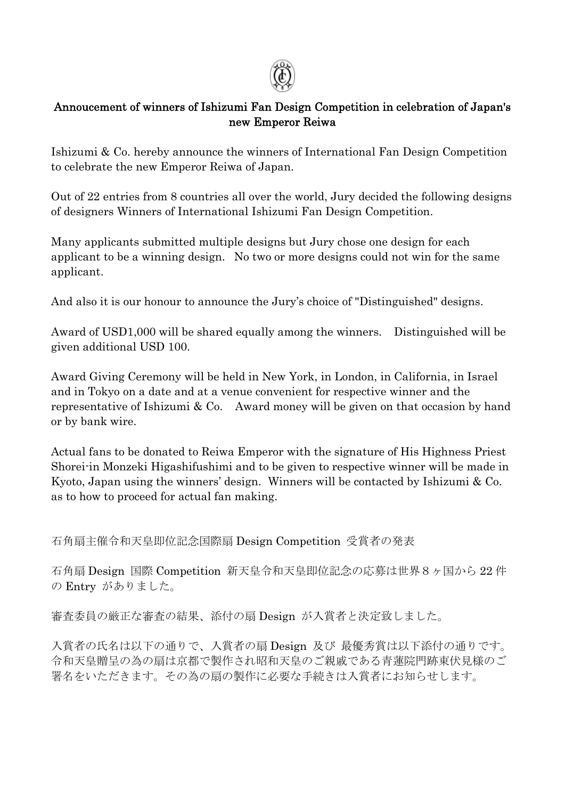

#### Annoucement of winners of Ishizumi Fan Design Competition in celebration of Japan's new Emperor Reiwa

Ishizumi & Co. hereby announce the winners of International Fan Design Competition to celebrate the new Emperor Reiwa of Japan.

Out of 22 entries from 8 countries all over the world, Jury decided the following designs of designers Winners of International Ishizumi Fan Design Competition.

Many applicants submitted multiple designs but Jury chose one design for each applicant to be a winning design. No two or more designs could not win for the same applicant.

And also it is our honour to announce the Jury's choice of "Distinguished" designs.

Award of USD1,000 will be shared equally among the winners. Distinguished will be given additional USD 100.

Award Giving Ceremony will be held in New York, in London, in California, in Israel and in Tokyo on a date and at a venue convenient for respective winner and the representative of Ishizumi & Co. Award money will be given on that occasion by hand or by bank wire.

Actual fans to be donated to Reiwa Emperor with the signature of His Highness Priest Shorei-in Monzeki Higashifushimi and to be given to respective winner will be made in Kyoto, Japan using the winners' design. Winners will be contacted by Ishizumi & Co. as to how to proceed for actual fan making.

石角扇主催令和天皇即位記念国際扇 Design Competition 受賞者の発表

石角扇 Design 国際 Competition 新天皇令和天皇即位記念の応募は世界8ヶ国から 22 件 の Entry がありました。

審査委員の厳正な審査の結果、添付の扇 Design が入賞者と決定致しました。

入賞者の氏名は以下の通りで、入賞者の扇 Design 及び 最優秀賞は以下添付の通りです。 令和天皇贈呈の為の扇は京都で製作され昭和天皇のご親戚である青蓮院門跡東伏見様のご 署名をいただきます。その為の扇の製作に必要な手続きは入賞者にお知らせします。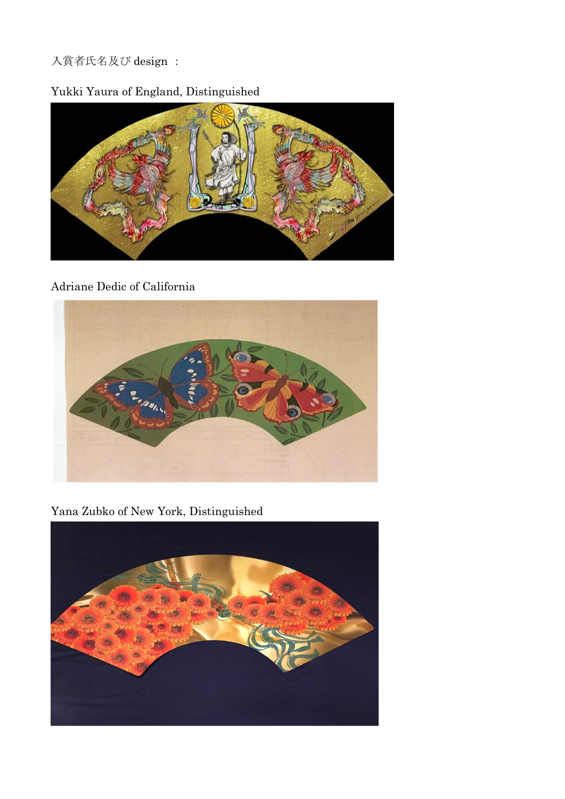## 入賞者氏名及び design :

## Yukki Yaura of England, Distinguished



#### Adriane Dedic of California



Yana Zubko of New York, Distinguished

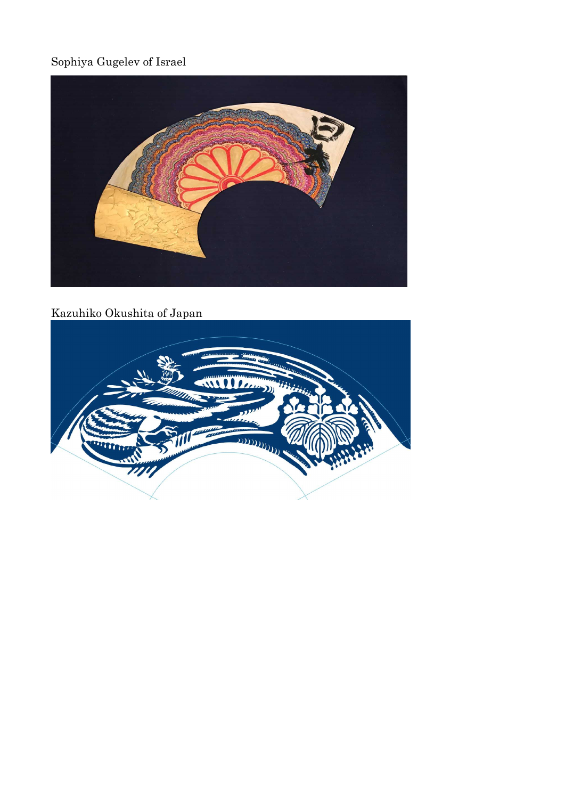# Sophiya Gugelev of Israel



## Kazuhiko Okushita of Japan